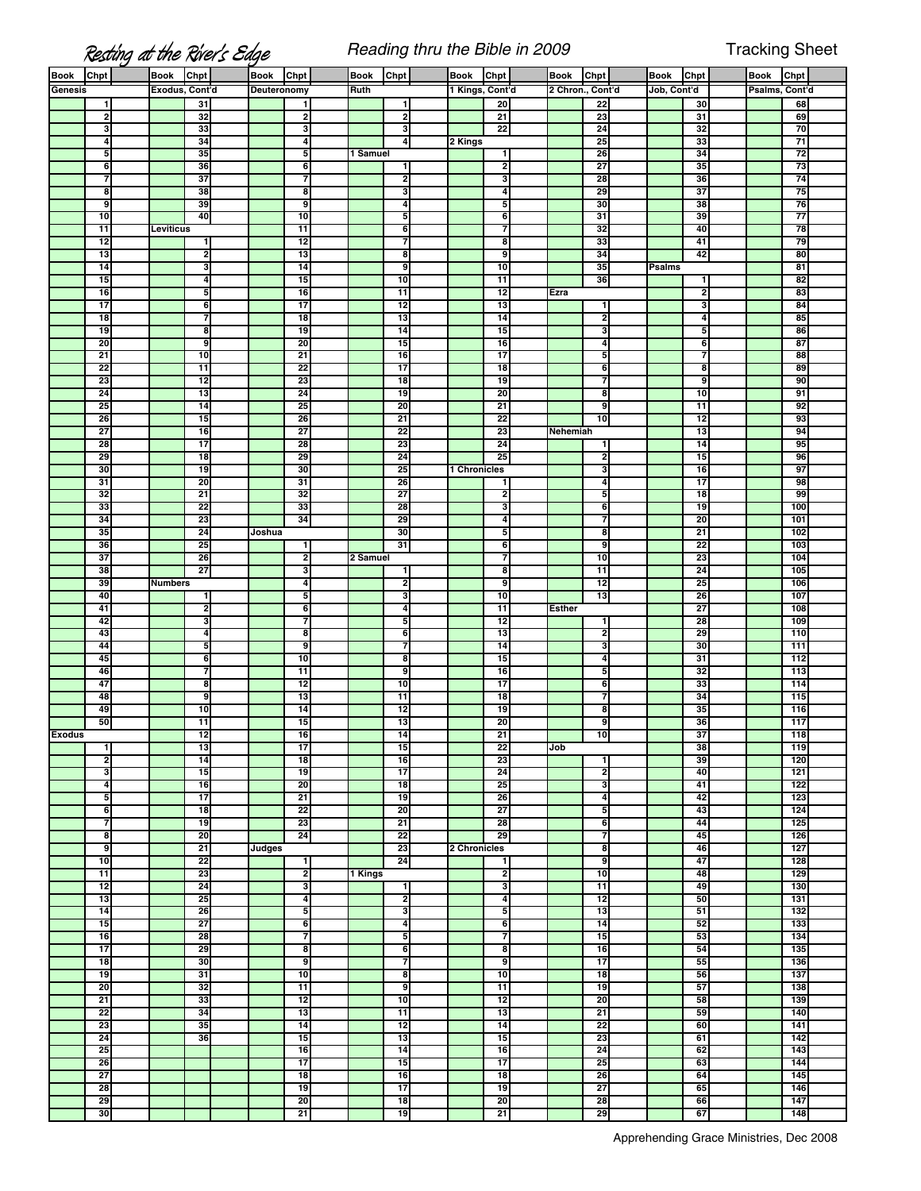## **Resting at the River's Edge** Reading thru the Bible in 2009 Tracking Sheet

| <b>Book</b>   | Chpt                               | <b>Book</b>    | Chpt                  | <b>Book</b>        | Chpt                               | Book     | Chpt                    | <b>Book</b>     | Chpt                    | <b>Book</b>      | Chpt            | Book          | Chpt                  | <b>Book</b>    | Chpt       |  |
|---------------|------------------------------------|----------------|-----------------------|--------------------|------------------------------------|----------|-------------------------|-----------------|-------------------------|------------------|-----------------|---------------|-----------------------|----------------|------------|--|
| Genesis       |                                    | Exodus, Cont'd |                       | <b>Deuteronomy</b> |                                    | Ruth     |                         | 1 Kings, Cont'd |                         | 2 Chron., Cont'd |                 | Job, Cont'd   |                       | Psalms, Cont'd |            |  |
|               | 1                                  |                | 31                    |                    | 1                                  |          | 1                       |                 | 20                      |                  | 22              |               | 30                    |                | 68         |  |
|               | $\mathbf 2$                        |                | 32                    |                    | $\overline{\mathbf{c}}$            |          | $\overline{2}$          |                 | 21                      |                  | 23              |               | 31                    |                | 69         |  |
|               | 3                                  |                | 33                    |                    | 3                                  |          | 3                       |                 | 22                      |                  | 24              |               | 32                    |                | 70         |  |
|               | $\overline{\mathbf{4}}$<br>5       |                | 34<br>35              |                    | 4<br>5                             | 1 Samuel | $\overline{a}$          | 2 Kings         | 1                       |                  | 25<br>26        |               | 33<br>34              |                | 71<br>72   |  |
|               | 6                                  |                | 36                    |                    | 6                                  |          | $\mathbf{1}$            |                 | Ŋ,                      |                  | 27              |               | 35                    |                | 73         |  |
|               | 7                                  |                | 37                    |                    | 7                                  |          | 2                       |                 | 3                       |                  | 28              |               | 36                    |                | 74         |  |
|               | 8                                  |                | 38                    |                    | 8                                  |          | 3                       |                 | 4                       |                  | 29              |               | $\overline{37}$       |                | 75         |  |
|               | 9                                  |                | 39                    |                    | 9                                  |          | $\overline{\mathbf{4}}$ |                 | 5                       |                  | 30              |               | 38                    |                | 76         |  |
|               | 10                                 |                | 40                    |                    | 10                                 |          | 5                       |                 | 6                       |                  | 31              |               | 39                    |                | 77         |  |
|               | 11                                 | Leviticus      |                       |                    | $\overline{11}$                    |          | 6                       |                 | 7                       |                  | 32              |               | 40                    |                | 78         |  |
|               | $\overline{12}$                    |                | 1                     |                    | $\overline{12}$                    |          | 7                       |                 | 8                       |                  | 33              |               | 41                    |                | 79         |  |
|               | 13                                 |                | 2                     |                    | 13                                 |          | 8                       |                 | 9                       |                  | 34              |               | 42                    |                | 80         |  |
|               | 14                                 |                | 3                     |                    | 14                                 |          | 9                       |                 | 10                      |                  | 35              | <b>Psalms</b> |                       |                | 81         |  |
|               | 15                                 |                | 4                     |                    | 15                                 |          | 10                      |                 | $\overline{11}$         |                  | 36              |               | 1                     |                | 82         |  |
|               | 16                                 |                | 5                     |                    | 16                                 |          | 11                      |                 | 12                      | Ezra             |                 |               | 2                     |                | 83         |  |
|               | $\overline{17}$<br>$\overline{18}$ |                | 6                     |                    | $\overline{17}$<br>$\overline{18}$ |          | $\overline{12}$<br>13   |                 | 13<br>14                |                  | 1<br>2          |               | u<br>4                |                | 84<br>85   |  |
|               | 19                                 |                | 7<br>8                |                    | 19                                 |          | 14                      |                 | 15                      |                  | 3               |               | 5                     |                | 86         |  |
|               | 20                                 |                | 9                     |                    | $\overline{20}$                    |          | $\overline{15}$         |                 | $\overline{16}$         |                  | 4               |               | 6                     |                | 87         |  |
|               | 21                                 |                | 10                    |                    | $\overline{21}$                    |          | 16                      |                 | 17                      |                  | 5               |               | ٦                     |                | 88         |  |
|               | 22                                 |                | 11                    |                    | 22                                 |          | $\overline{17}$         |                 | 18                      |                  | 6               |               | 8                     |                | 89         |  |
|               | 23                                 |                | 12                    |                    | 23                                 |          | 18                      |                 | 19                      |                  | 7               |               | g                     |                | 90         |  |
|               | 24                                 |                | 13                    |                    | 24                                 |          | 19                      |                 | 20                      |                  | 8               |               | 10                    |                | 91         |  |
|               | 25                                 |                | 14                    |                    | 25                                 |          | $\overline{20}$         |                 | 21                      |                  | 9               |               | 11                    |                | 92         |  |
|               | 26                                 |                | 15                    |                    | 26                                 |          | 21                      |                 | 22                      |                  | 10              |               | 12                    |                | 93         |  |
|               | 27                                 |                | 16                    |                    | 27                                 |          | 22                      |                 | 23                      | Nehemiah         |                 |               | $\overline{13}$       |                | 94         |  |
|               | 28                                 |                | $\overline{17}$       |                    | 28                                 |          | 23                      |                 | 24                      |                  | 1               |               | 14                    |                | 95         |  |
|               | 29                                 |                | 18                    |                    | 29                                 |          | 24                      |                 | 25                      |                  | 2               |               | 15                    |                | 96         |  |
|               | 30                                 |                | 19                    |                    | 30                                 |          | 25                      | 1 Chronicles    |                         |                  | 3               |               | 16                    |                | 97         |  |
|               | 31                                 |                | 20                    |                    | 31                                 |          | 26                      |                 |                         |                  | 4               |               | $\overline{17}$       |                | 98         |  |
|               | 32<br>33                           |                | $\overline{21}$<br>22 |                    | 32<br>33                           |          | 27<br>28                |                 | 2                       |                  | 5<br>6          |               | $\overline{18}$<br>19 |                | 99<br>100  |  |
|               | 34                                 |                | 23                    |                    | 34                                 |          | 29                      |                 | 3<br>4                  |                  | 7               |               | 20                    |                | 101        |  |
|               | 35                                 |                | 24                    | Joshua             |                                    |          | 30                      |                 | 5                       |                  | 8               |               | 21                    |                | 102        |  |
|               | 36                                 |                | 25                    |                    | $\mathbf{1}$                       |          | 31                      |                 | 6                       |                  | 9               |               | 22                    |                | 103        |  |
|               | 37                                 |                | 26                    |                    | 2                                  | 2 Samuel |                         |                 | 7                       |                  | 10              |               | 23                    |                | 104        |  |
|               | 38                                 |                | $\overline{27}$       |                    | 3                                  |          | $\mathbf{1}$            |                 | 8                       |                  | 11              |               | 24                    |                | 105        |  |
|               | 39                                 | <b>Numbers</b> |                       |                    | 4                                  |          | $\mathbf{2}$            |                 | 9                       |                  | 12              |               | 25                    |                | 106        |  |
|               | 40                                 |                | $\blacksquare$        |                    | 5                                  |          | 3                       |                 | 10                      |                  | 13              |               | 26                    |                | 107        |  |
|               | 41                                 |                | 2                     |                    | 6                                  |          | 4                       |                 | $\overline{11}$         | <b>Esther</b>    |                 |               | 27                    |                | 108        |  |
|               | 42                                 |                | 3                     |                    | 7                                  |          | 5                       |                 | 12                      |                  | 1               |               | 28                    |                | 109        |  |
|               | 43                                 |                | 4                     |                    | 8                                  |          | 6                       |                 | $\overline{13}$         |                  | 2               |               | 29                    |                | 110        |  |
|               | 44                                 |                | 5                     |                    | 9                                  |          | 7                       |                 | 14                      |                  | 3               |               | 30                    |                | 111        |  |
|               | 45                                 |                | 6                     |                    | 10                                 |          | 8                       |                 | 15                      |                  | 4               |               | 31                    |                | 112        |  |
|               | 46                                 |                | 7                     |                    | 11                                 |          | 9                       |                 | 16<br>17                |                  | 5               |               | 32                    |                | 113        |  |
|               | 47<br>48                           |                | 8<br>g                |                    | $\overline{12}$<br>13              |          | 10<br>11                |                 | $\overline{18}$         |                  | 6<br>7          |               | 33<br>34              |                | 114<br>115 |  |
|               | 49                                 |                | 10                    |                    | 14                                 |          | 12                      |                 | 19                      |                  | 8               |               | 35                    |                | 116        |  |
|               | 50                                 |                | $\overline{11}$       |                    | 15                                 |          | 13                      |                 | 20                      |                  | 9               |               | 36                    |                | 117        |  |
| <b>Exodus</b> |                                    |                | 12                    |                    | 16                                 |          | 14                      |                 | 21                      |                  | 10              |               | 37                    |                | 118        |  |
|               | 1                                  |                | 13                    |                    | 17                                 |          | 15                      |                 | 22                      | Job              |                 |               | 38                    |                | 119        |  |
|               | $\overline{2}$                     |                | 14                    |                    | $\overline{18}$                    |          | 16                      |                 | 23                      |                  | 1               |               | 39                    |                | 120        |  |
|               | 3                                  |                | 15                    |                    | 19                                 |          | 17                      |                 | 24                      |                  | 2               |               | 40                    |                | 121        |  |
|               | 4                                  |                | 16                    |                    | $\overline{20}$                    |          | 18                      |                 | 25                      |                  | 3               |               | 41                    |                | 122        |  |
|               | 5                                  |                | $\overline{17}$       |                    | $\overline{21}$                    |          | 19                      |                 | 26                      |                  | 4               |               | 42                    |                | 123        |  |
|               | 6                                  |                | $\overline{18}$       |                    | 22                                 |          | 20                      |                 | 27                      |                  | 5               |               | 43                    |                | 124        |  |
|               | 7                                  |                | 19                    |                    | 23                                 |          | $\overline{21}$         |                 | 28                      |                  | 6               |               | 44                    |                | 125        |  |
|               | 8<br>ु                             |                | 20<br>21              | Judges             | 24                                 |          | 22<br>23                | 2 Chronicles    | 29                      |                  | 7<br>8          |               | 45<br>46              |                | 126<br>127 |  |
|               | 10                                 |                | 22                    |                    | $\blacksquare$                     |          | 24                      |                 | 1                       |                  | 9               |               | 47                    |                | 128        |  |
|               | 11                                 |                | 23                    |                    | 2                                  | 1 Kings  |                         |                 | $\overline{2}$          |                  | 10              |               | 48                    |                | 129        |  |
|               | $\overline{12}$                    |                | 24                    |                    | 3                                  |          | $\mathbf{1}$            |                 | 3                       |                  | 11              |               | 49                    |                | 130        |  |
|               | 13                                 |                | 25                    |                    | 4                                  |          | $\mathbf{2}$            |                 | $\overline{\mathbf{4}}$ |                  | 12              |               | 50                    |                | 131        |  |
|               | 14                                 |                | 26                    |                    | 5                                  |          | 3                       |                 | 5                       |                  | 13              |               | 51                    |                | 132        |  |
|               | 15                                 |                | 27                    |                    | 6                                  |          | 4                       |                 | 6                       |                  | 14              |               | 52                    |                | 133        |  |
|               | 16                                 |                | 28                    |                    | 7                                  |          | 5                       |                 | 7                       |                  | 15              |               | 53                    |                | 134        |  |
|               | $\overline{17}$                    |                | 29                    |                    | 8                                  |          | 6                       |                 | 8                       |                  | 16              |               | 54                    |                | 135        |  |
|               | 18                                 |                | 30                    |                    | 9                                  |          | 7                       |                 | 9                       |                  | 17              |               | 55                    |                | 136        |  |
|               | 19                                 |                | 31                    |                    | 10                                 |          | 8                       |                 | 10                      |                  | $\overline{18}$ |               | 56                    |                | 137        |  |
|               | 20                                 |                | 32                    |                    | 11                                 |          | 9                       |                 | 11                      |                  | 19              |               | 57                    |                | 138        |  |
|               | 21                                 |                | 33                    |                    | $\overline{12}$                    |          | $\overline{10}$         |                 | 12                      |                  | 20              |               | 58                    |                | 139        |  |
|               | 22                                 |                | 34                    |                    | 13                                 |          | $\overline{11}$         |                 | $\overline{13}$         |                  | 21              |               | 59                    |                | 140        |  |
|               | 23<br>24                           |                | 35<br>36              |                    | 14<br>15                           |          | 12<br>13                |                 | 14<br>15                |                  | 22<br>23        |               | 60<br>61              |                | 141<br>142 |  |
|               | 25                                 |                |                       |                    | 16                                 |          | 14                      |                 | 16                      |                  | 24              |               | 62                    |                | 143        |  |
|               | 26                                 |                |                       |                    | $\overline{17}$                    |          | 15                      |                 | $\overline{17}$         |                  | 25              |               | 63                    |                | 144        |  |
|               | 27                                 |                |                       |                    | $\overline{18}$                    |          | 16                      |                 | 18                      |                  | 26              |               | 64                    |                | 145        |  |
|               | 28                                 |                |                       |                    | 19                                 |          | 17                      |                 | 19                      |                  | 27              |               | 65                    |                | 146        |  |
|               | 29                                 |                |                       |                    | $\overline{20}$                    |          | 18                      |                 | 20                      |                  | 28              |               | 66                    |                | 147        |  |
|               | 30                                 |                |                       |                    | $\overline{21}$                    |          | 19                      |                 | $\overline{21}$         |                  | 29              |               | 67                    |                | 148        |  |